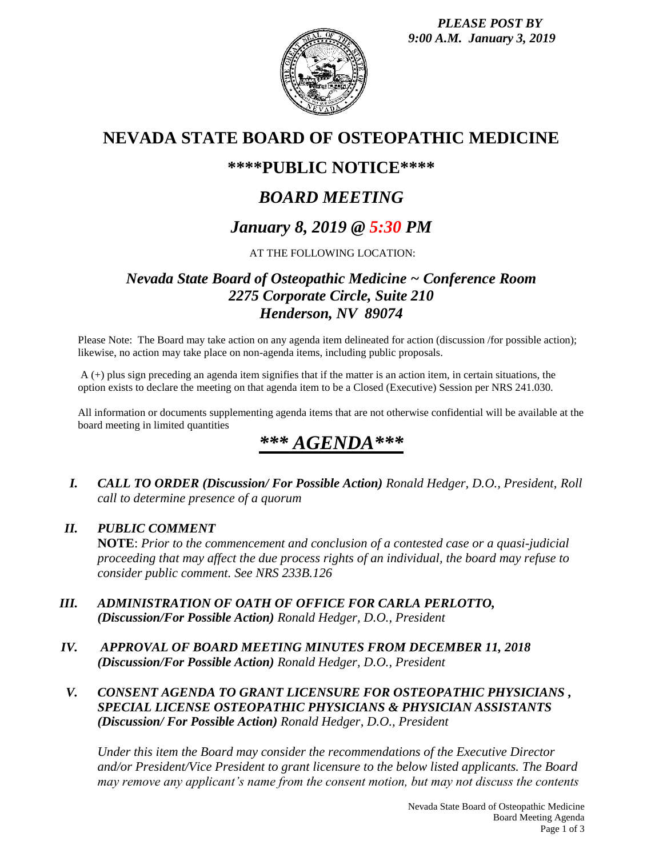

# **NEVADA STATE BOARD OF OSTEOPATHIC MEDICINE**

# **\*\*\*\*PUBLIC NOTICE\*\*\*\***

# *BOARD MEETING*

# *January 8, 2019 @ 5:30 PM*

# AT THE FOLLOWING LOCATION:

# *Nevada State Board of Osteopathic Medicine ~ Conference Room 2275 Corporate Circle, Suite 210 Henderson, NV 89074*

Please Note: The Board may take action on any agenda item delineated for action (discussion /for possible action); likewise, no action may take place on non-agenda items, including public proposals.

A (+) plus sign preceding an agenda item signifies that if the matter is an action item, in certain situations, the option exists to declare the meeting on that agenda item to be a Closed (Executive) Session per NRS 241.030.

All information or documents supplementing agenda items that are not otherwise confidential will be available at the board meeting in limited quantities

# *\*\*\* AGENDA\*\*\**

*I. CALL TO ORDER (Discussion/ For Possible Action) Ronald Hedger, D.O., President, Roll call to determine presence of a quorum*

# *II. PUBLIC COMMENT*

**NOTE**: *Prior to the commencement and conclusion of a contested case or a quasi-judicial proceeding that may affect the due process rights of an individual, the board may refuse to consider public comment. See NRS 233B.126*

- *III. ADMINISTRATION OF OATH OF OFFICE FOR CARLA PERLOTTO, (Discussion/For Possible Action) Ronald Hedger, D.O., President*
- *IV. APPROVAL OF BOARD MEETING MINUTES FROM DECEMBER 11, 2018 (Discussion/For Possible Action) Ronald Hedger, D.O., President*
- *V. CONSENT AGENDA TO GRANT LICENSURE FOR OSTEOPATHIC PHYSICIANS , SPECIAL LICENSE OSTEOPATHIC PHYSICIANS & PHYSICIAN ASSISTANTS (Discussion/ For Possible Action) Ronald Hedger, D.O., President*

*Under this item the Board may consider the recommendations of the Executive Director and/or President/Vice President to grant licensure to the below listed applicants. The Board may remove any applicant's name from the consent motion, but may not discuss the contents*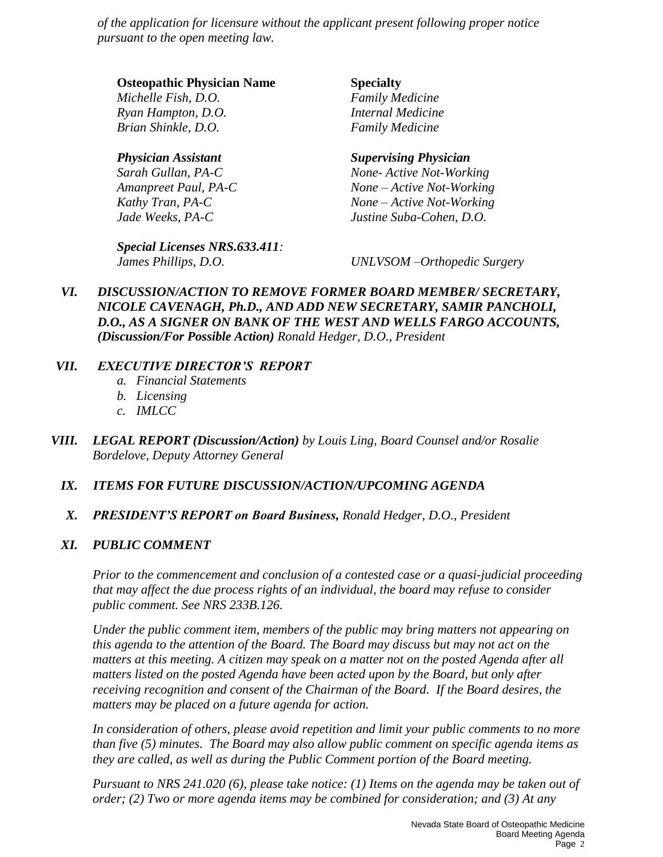*of the application for licensure without the applicant present following proper notice pursuant to the open meeting law.* 

### **Osteopathic Physician Name Specialty**

*Michelle Fish, D.O. Family Medicine Ryan Hampton, D.O. Internal Medicine Brian Shinkle, D.O. Family Medicine*

*Special Licenses NRS.633.411:*

## *Physician Assistant Supervising Physician*

*Sarah Gullan, PA-C None- Active Not-Working Amanpreet Paul, PA-C None – Active Not-Working Kathy Tran, PA-C None – Active Not-Working Jade Weeks, PA-C Justine Suba-Cohen, D.O.*

*James Phillips, D.O. UNLVSOM –Orthopedic Surgery*

*VI. DISCUSSION/ACTION TO REMOVE FORMER BOARD MEMBER/ SECRETARY, NICOLE CAVENAGH, Ph.D., AND ADD NEW SECRETARY, SAMIR PANCHOLI, D.O., AS A SIGNER ON BANK OF THE WEST AND WELLS FARGO ACCOUNTS, (Discussion/For Possible Action) Ronald Hedger, D.O., President* 

## *VII. EXECUTIVE DIRECTOR'S REPORT*

- *a. Financial Statements*
- *b. Licensing*
- *c. IMLCC*
- *VIII. LEGAL REPORT (Discussion/Action) by Louis Ling, Board Counsel and/or Rosalie Bordelove, Deputy Attorney General*

## *IX. ITEMS FOR FUTURE DISCUSSION/ACTION/UPCOMING AGENDA*

*X. PRESIDENT'S REPORT on Board Business, Ronald Hedger, D.O., President*

## *XI. PUBLIC COMMENT*

*Prior to the commencement and conclusion of a contested case or a quasi-judicial proceeding that may affect the due process rights of an individual, the board may refuse to consider public comment. See NRS 233B.126.*

*Under the public comment item, members of the public may bring matters not appearing on this agenda to the attention of the Board. The Board may discuss but may not act on the matters at this meeting. A citizen may speak on a matter not on the posted Agenda after all matters listed on the posted Agenda have been acted upon by the Board, but only after receiving recognition and consent of the Chairman of the Board. If the Board desires, the matters may be placed on a future agenda for action.*

*In consideration of others, please avoid repetition and limit your public comments to no more than five (5) minutes. The Board may also allow public comment on specific agenda items as they are called, as well as during the Public Comment portion of the Board meeting.* 

*Pursuant to NRS 241.020 (6), please take notice: (1) Items on the agenda may be taken out of order; (2) Two or more agenda items may be combined for consideration; and (3) At any*